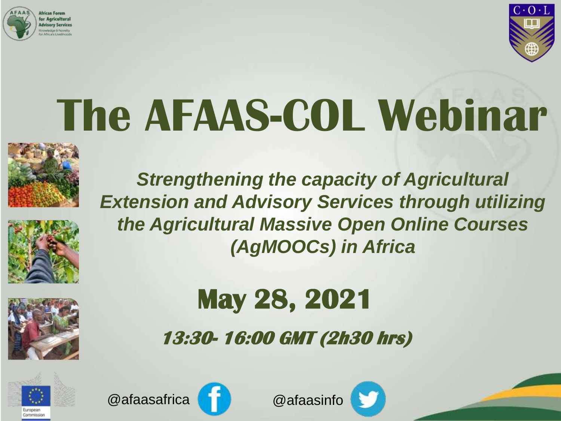



## **The AFAAS-COL Webinar**

*Strengthening the capacity of Agricultural* 

*Extension and Advisory Services through utilizing* 

*the Agricultural Massive Open Online Courses* 

*(AgMOOCs) in Africa*







### **May 28, 2021**

**13:30- 16:00 GMT (2h30 hrs)**





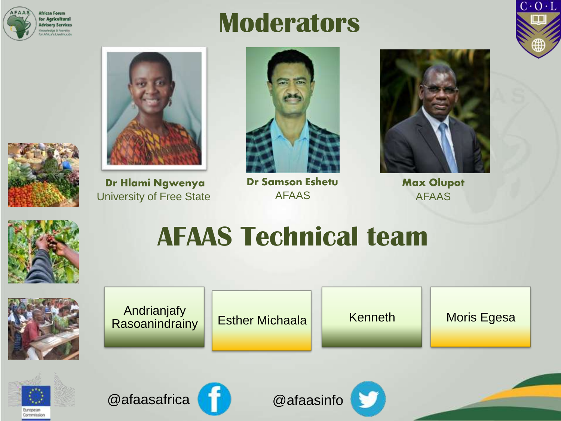

#### **Moderators**





**Dr Hlami Ngwenya** University of Free State



**Dr Samson Eshetu** AFAAS



**Max Olupot** AFAAS











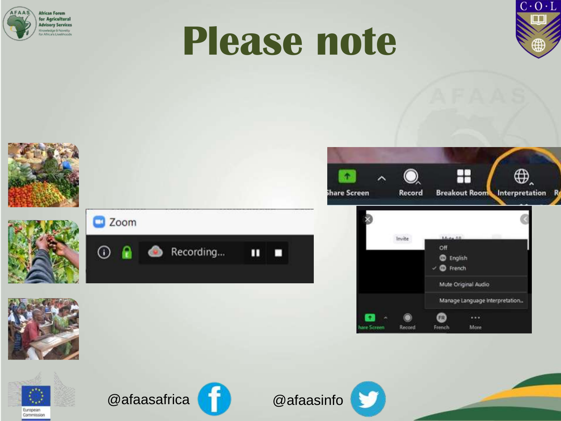

## **Please note**



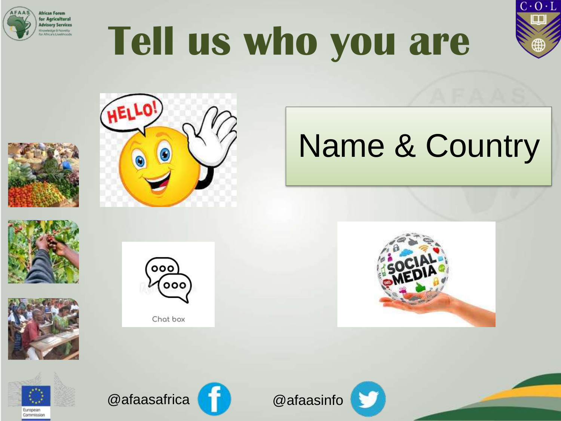









### Name & Country







Chat box







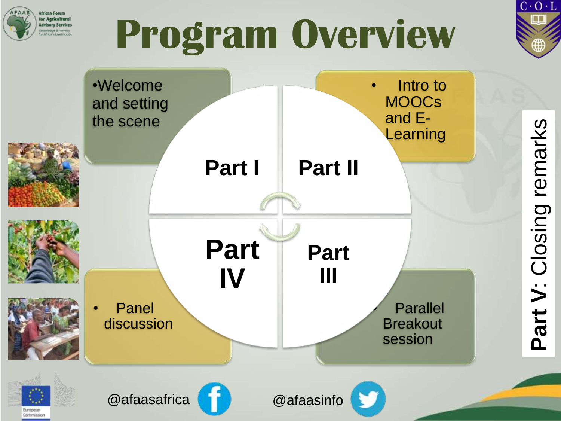

## **Program Overview**



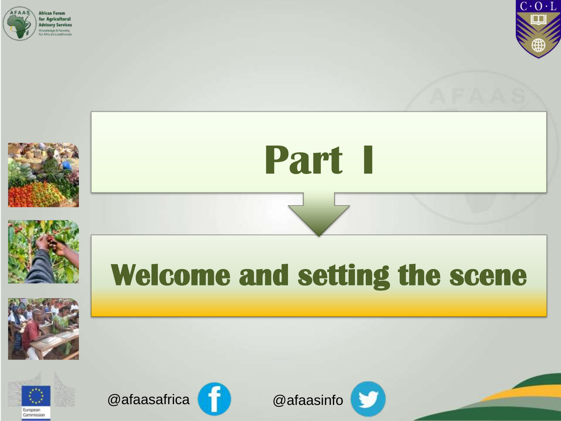









### **Welcome and setting the scene**

**Part I**







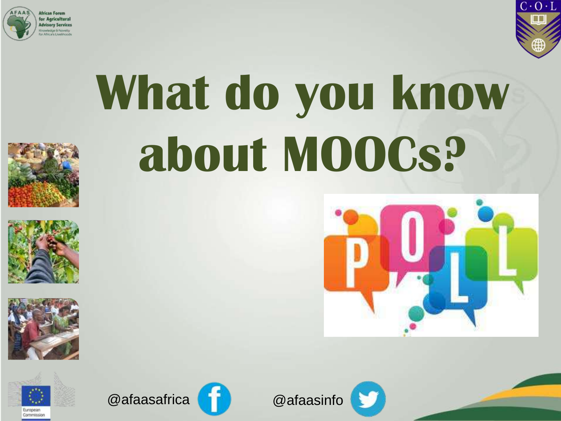



# **What do you know about MOOCs?**













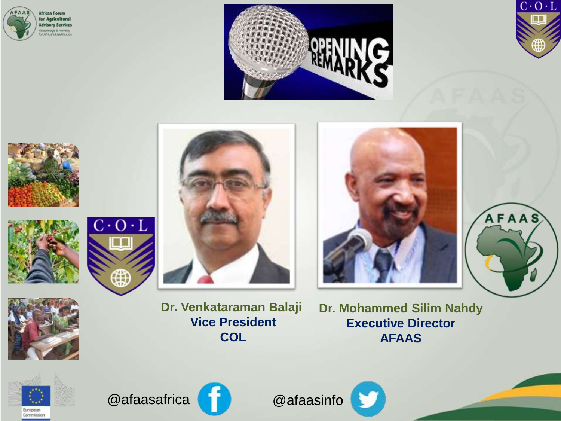

















**Dr. Venkataraman Balaji Vice President COL**

**Dr. Mohammed Silim Nahdy Executive Director AFAAS** 







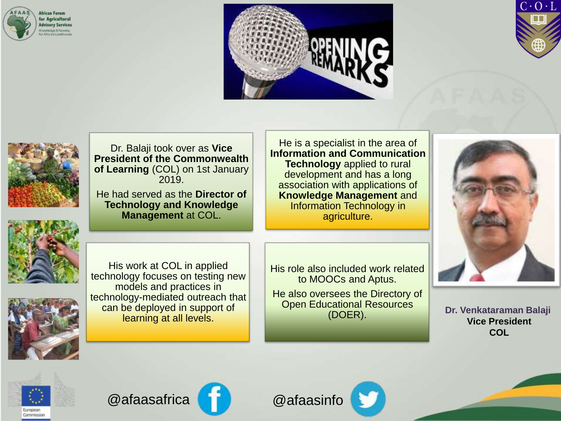







Dr. Balaji took over as **Vice President of the Commonwealth of Learning** (COL) on 1st January 2019.

He had served as the **Director of Technology and Knowledge Management** at COL.

He is a specialist in the area of **Information and Communication Technology** applied to rural development and has a long association with applications of **Knowledge Management** and Information Technology in agriculture.



His work at COL in applied technology focuses on testing new models and practices in technology-mediated outreach that can be deployed in support of learning at all levels.

His role also included work related to MOOCs and Aptus.

He also oversees the Directory of Open Educational Resources



(DOER). **Dr. Venkataraman Balaji Vice President COL**





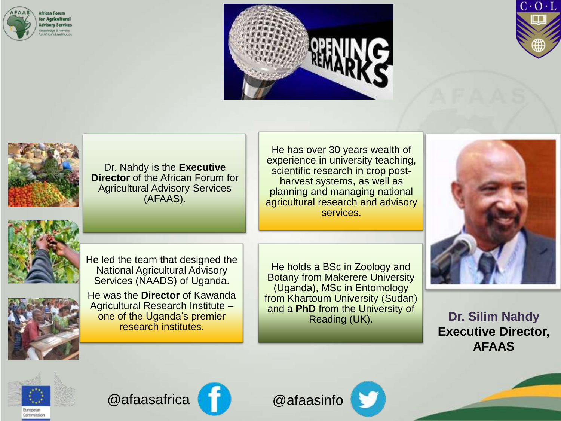







Dr. Nahdy is the **Executive Director** of the African Forum for Agricultural Advisory Services (AFAAS).





He was the **Director** of Kawanda Agricultural Research Institute – one of the Uganda's premier research institutes.

He holds a BSc in Zoology and Botany from Makerere University (Uganda), MSc in Entomology from Khartoum University (Sudan) and a **PhD** from the University of Reading (UK).

He has over 30 years wealth of experience in university teaching, scientific research in crop postharvest systems, as well as planning and managing national agricultural research and advisory services.



**Dr. Silim Nahdy Executive Director, AFAAS** 







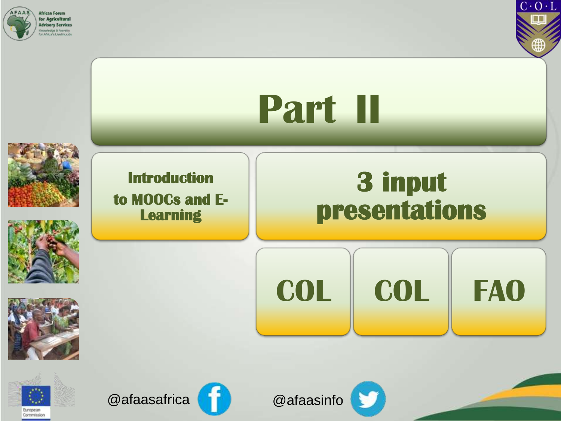



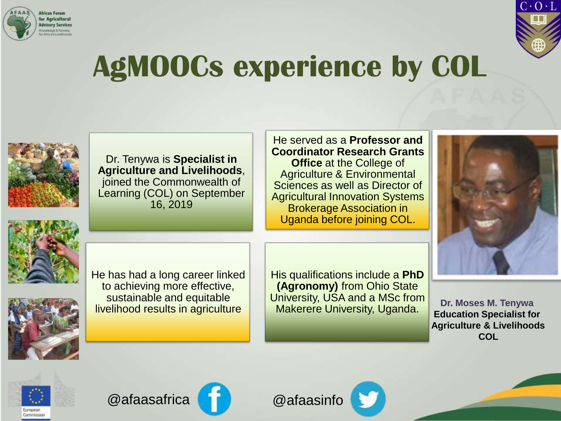



#### **AgMOOCs experience by COL**



Dr. Tenywa is **Specialist in Agriculture and Livelihoods**, joined the Commonwealth of Learning (COL) on September 16, 2019

He served as a **Professor and Coordinator Research Grants Office** at the College of Agriculture & Environmental Sciences as well as Director of Agricultural Innovation Systems Brokerage Association in Uganda before joining COL.







He has had a long career linked to achieving more effective, sustainable and equitable livelihood results in agriculture

His qualifications include a **PhD (Agronomy)** from Ohio State University, USA and a MSc from Makerere University, Uganda. **Dr. Moses M. Tenywa**

**Education Specialist for Agriculture & Livelihoods COL**





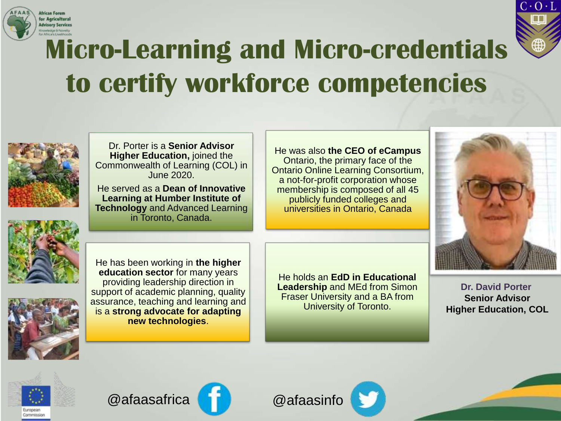



#### **Micro-Learning and Micro-credentials to certify workforce competencies**



Dr. Porter is a **Senior Advisor Higher Education,** joined the Commonwealth of Learning (COL) in June 2020.

He served as a **Dean of Innovative Learning at Humber Institute of Technology** and Advanced Learning in Toronto, Canada.

He was also **the CEO of eCampus**  Ontario, the primary face of the Ontario Online Learning Consortium, a not-for-profit corporation whose membership is composed of all 45 publicly funded colleges and universities in Ontario, Canada



He has been working in **the higher education sector** for many years providing leadership direction in support of academic planning, quality assurance, teaching and learning and is a **strong advocate for adapting new technologies**.

He holds an **EdD in Educational Leadership** and MEd from Simon Fraser University and a BA from University of Toronto.

**Dr. David Porter Senior Advisor Higher Education, COL**





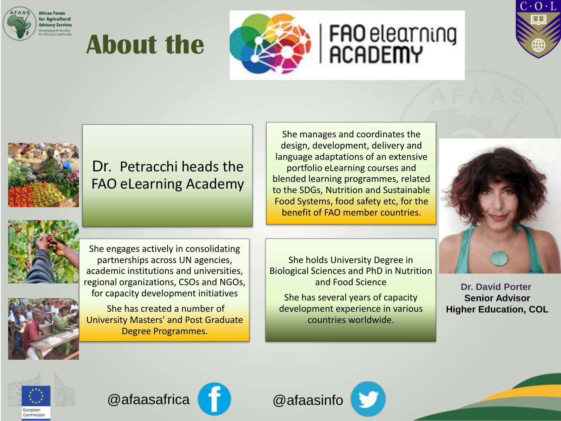

#### **About the**



## FAO elearning<br>ACADEMY





#### Dr. Petracchi heads the FAO eLearning Academy

She manages and coordinates the design, development, delivery and language adaptations of an extensive portfolio eLearning courses and blended learning programmes, related to the SDGs, Nutrition and Sustainable Food Systems, food safety etc, for the benefit of FAO member countries.







She has created a number of University Masters' and Post Graduate Degree Programmes.

She holds University Degree in Biological Sciences and PhD in Nutrition and Food Science

She has several years of capacity development experience in various countries worldwide.

**Dr. David Porter Senior Advisor Higher Education, COL**





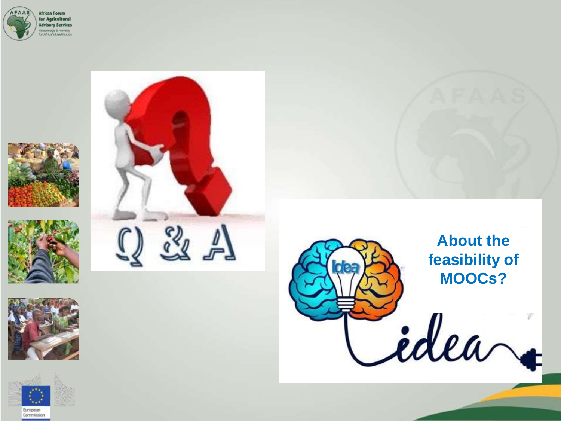













#### **About the feasibility of MOOCs?**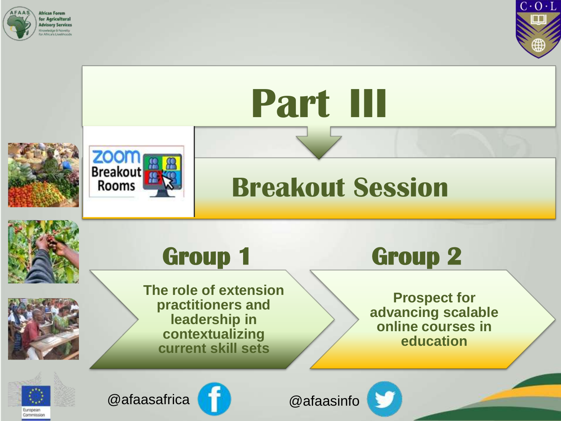

Commission



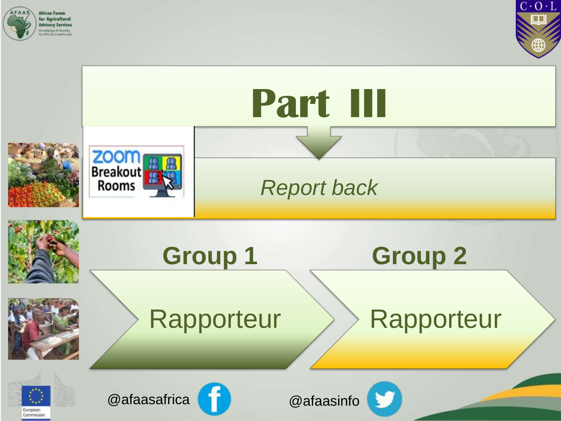



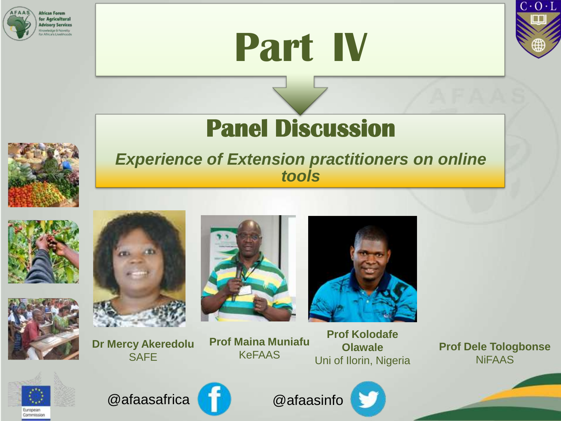





#### **Panel Discussion**

#### *Experience of Extension practitioners on online tools*







**Dr Mercy Akeredolu SAFE** 





**Prof Maina Muniafu** KeFAAS

**Prof Kolodafe Olawale** Uni of Ilorin, Nigeria

**Prof Dele Tologbonse** NiFAAS



@afaasafrica @afaasinfo